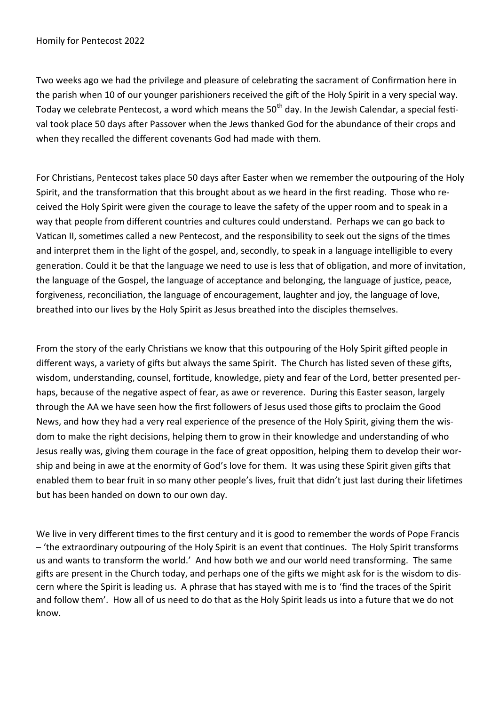Two weeks ago we had the privilege and pleasure of celebrating the sacrament of Confirmation here in the parish when 10 of our younger parishioners received the gift of the Holy Spirit in a very special way. Today we celebrate Pentecost, a word which means the 50<sup>th</sup> day. In the Jewish Calendar, a special festival took place 50 days after Passover when the Jews thanked God for the abundance of their crops and when they recalled the different covenants God had made with them.

For Christians, Pentecost takes place 50 days after Easter when we remember the outpouring of the Holy Spirit, and the transformation that this brought about as we heard in the first reading. Those who received the Holy Spirit were given the courage to leave the safety of the upper room and to speak in a way that people from different countries and cultures could understand. Perhaps we can go back to Vatican II, sometimes called a new Pentecost, and the responsibility to seek out the signs of the times and interpret them in the light of the gospel, and, secondly, to speak in a language intelligible to every generation. Could it be that the language we need to use is less that of obligation, and more of invitation, the language of the Gospel, the language of acceptance and belonging, the language of justice, peace, forgiveness, reconciliation, the language of encouragement, laughter and joy, the language of love, breathed into our lives by the Holy Spirit as Jesus breathed into the disciples themselves.

From the story of the early Christians we know that this outpouring of the Holy Spirit gifted people in different ways, a variety of gifts but always the same Spirit. The Church has listed seven of these gifts, wisdom, understanding, counsel, fortitude, knowledge, piety and fear of the Lord, better presented perhaps, because of the negative aspect of fear, as awe or reverence. During this Easter season, largely through the AA we have seen how the first followers of Jesus used those gifts to proclaim the Good News, and how they had a very real experience of the presence of the Holy Spirit, giving them the wisdom to make the right decisions, helping them to grow in their knowledge and understanding of who Jesus really was, giving them courage in the face of great opposition, helping them to develop their worship and being in awe at the enormity of God's love for them. It was using these Spirit given gifts that enabled them to bear fruit in so many other people's lives, fruit that didn't just last during their lifetimes but has been handed on down to our own day.

We live in very different times to the first century and it is good to remember the words of Pope Francis – 'the extraordinary outpouring of the Holy Spirit is an event that continues. The Holy Spirit transforms us and wants to transform the world.' And how both we and our world need transforming. The same gifts are present in the Church today, and perhaps one of the gifts we might ask for is the wisdom to discern where the Spirit is leading us. A phrase that has stayed with me is to 'find the traces of the Spirit and follow them'. How all of us need to do that as the Holy Spirit leads us into a future that we do not know.